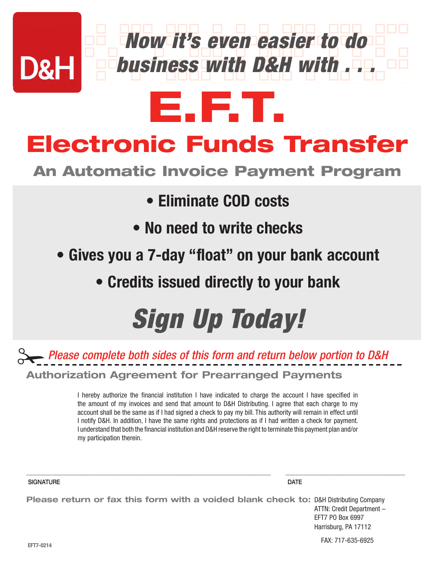## *Now it's even easier to do*  **business with D&H with D&**



## Electronic Funds Transfer

An Automatic Invoice Payment Program

- Eliminate COD costs
- No need to write checks
- Gives you a 7-day "float" on your bank account
	- Credits issued directly to your bank

# *Sign Up Today!*

*Please complete both sides of this form and return below portion to D&H* Authorization Agreement for Prearranged Payments 8

> I hereby authorize the financial institution I have indicated to charge the account I have specified in the amount of my invoices and send that amount to D&H Distributing. I agree that each charge to my account shall be the same as if I had signed a check to pay my bill. This authority will remain in effect until I notify D&H. In addition, I have the same rights and protections as if I had written a check for payment. I understand that both the financial institution and D&H reserve the right to terminate this payment plan and/or my participation therein.

\_\_\_\_\_\_\_\_\_\_\_\_\_\_\_\_\_\_\_\_\_\_\_\_\_\_\_\_\_\_\_\_\_\_\_\_\_\_\_\_\_\_\_\_\_\_\_\_\_\_\_\_\_\_\_\_\_\_\_\_\_\_\_\_\_\_\_\_\_\_\_\_\_\_\_\_\_\_\_\_\_\_\_\_\_\_\_\_\_\_\_\_\_\_\_\_\_\_\_\_\_\_ \_\_\_\_\_\_\_\_\_\_\_\_\_\_\_\_\_\_\_\_\_\_\_\_\_\_\_\_\_\_\_\_\_\_\_\_\_\_\_\_\_\_\_\_\_\_\_\_\_\_

SIGNATURE DATE DATE OF A SERIES AND STRUCK AND LOCAL CONTROL CONTROL OF A SERIES OF A SERIES OF A SERIES OF A SERIES OF A SERIES OF A SERIES OF A SERIES OF A SERIES OF A SERIES OF A SERIES OF A SERIES OF A SERIES OF A SERI

Please return or fax this form with a voided blank check to: D&H Distributing Company ATTN: Credit Department – EFT7 PO Box 6997 Harrisburg, PA 17112

FAX: 717-635-6925